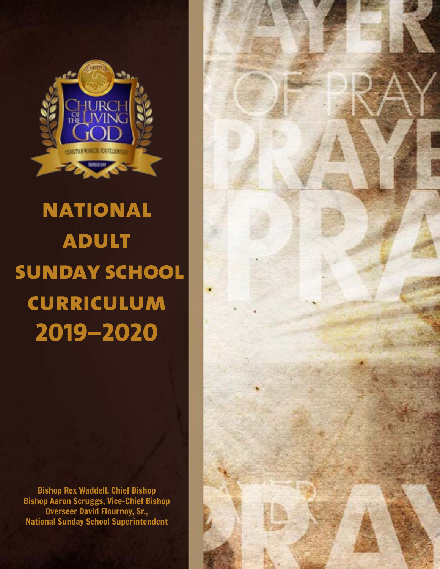

# **national adult sunday school curriculum 2019–2020**

Bishop Rex Waddell, Chief Bishop Bishop Aaron Scruggs, Vice-Chief Bishop Overseer David Flournoy, Sr., National Sunday School Superintendent

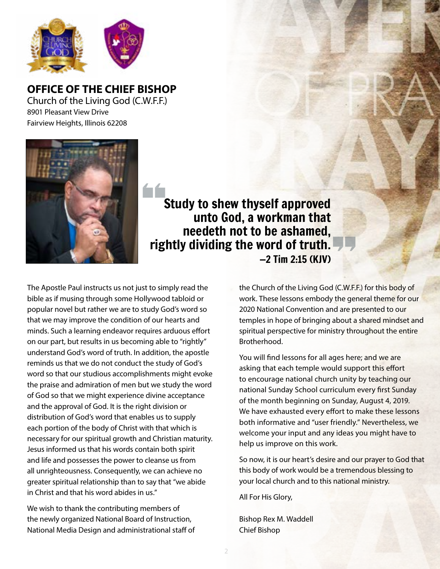

**OFFICE OF THE CHIEF BISHOP** Church of the Living God (C.W.F.F.) 8901 Pleasant View Drive Fairview Heights, Illinois 62208



 Study to shew thyself approved unto God, a workman that needeth not to be ashamed, rightly dividing the word of truth.  $-2$  Tim 2:15 (KIV)

bible as if musing through some Hollywood tabloid or<br>popular novel but rather we are to study God's word so **2019–2019**<br>2019–2019 minds. Such a learning endeavor requires arduous effort<br>2019 our part, but results in us becoming able to "rightly" in Christ and that his word abides in us." The Apostle Paul instructs us not just to simply read the bible as if musing through some Hollywood tabloid or that we may improve the condition of our hearts and on our part, but results in us becoming able to "rightly" understand God's word of truth. In addition, the apostle reminds us that we do not conduct the study of God's word so that our studious accomplishments might evoke the praise and admiration of men but we study the word of God so that we might experience divine acceptance and the approval of God. It is the right division or distribution of God's word that enables us to supply each portion of the body of Christ with that which is necessary for our spiritual growth and Christian maturity. Jesus informed us that his words contain both spirit and life and possesses the power to cleanse us from all unrighteousness. Consequently, we can achieve no greater spiritual relationship than to say that "we abide

Bishop Aaron Scruggs, Vice-Chief Bishop We wish to thank the contributing members of the newly organized National Board of Instruction, National Media Design and administrational staff of the Church of the Living God (C.W.F.F.) for this body of work. These lessons embody the general theme for our 2020 National Convention and are presented to our temples in hope of bringing about a shared mindset and spiritual perspective for ministry throughout the entire Brotherhood.

You will find lessons for all ages here; and we are asking that each temple would support this effort to encourage national church unity by teaching our national Sunday School curriculum every first Sunday of the month beginning on Sunday, August 4, 2019. We have exhausted every effort to make these lessons both informative and "user friendly." Nevertheless, we welcome your input and any ideas you might have to help us improve on this work.

So now, it is our heart's desire and our prayer to God that this body of work would be a tremendous blessing to your local church and to this national ministry.

All For His Glory,

2

Bishop Rex M. Waddell Chief Bishop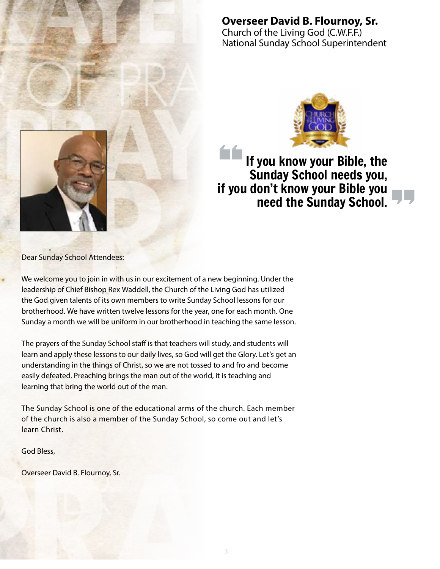

**Overseer David B. Flournoy, Sr.** Church of the Living God (C.W.F.F.) National Sunday School Superintendent



# If you know your Bible, the Sunday School needs you, if you don't know your Bible you need the Sunday School.

Dear Sunday School Attendees:

We welcome you to join in with us in our excitement of a new beginning. Under the leadership of Chief Bishop Rex Waddell, the Church of the Living God has utilized the God given talents of its own members to write Sunday School lessons for our brotherhood. We have written twelve lessons for the year, one for each month. One Sunday a month we will be uniform in our brotherhood in teaching the same lesson.

The prayers of the Sunday School staff is that teachers will study, and students will learn and apply these lessons to our daily lives, so God will get the Glory. Let's get an understanding in the things of Christ, so we are not tossed to and fro and become easily defeated. Preaching brings the man out of the world, it is teaching and learning that bring the world out of the man.

The Sunday School is one of the educational arms of the church. Each member of the church is also a member of the Sunday School, so come out and let's learn Christ.

God Bless,

Overseer David B. Flournoy, Sr.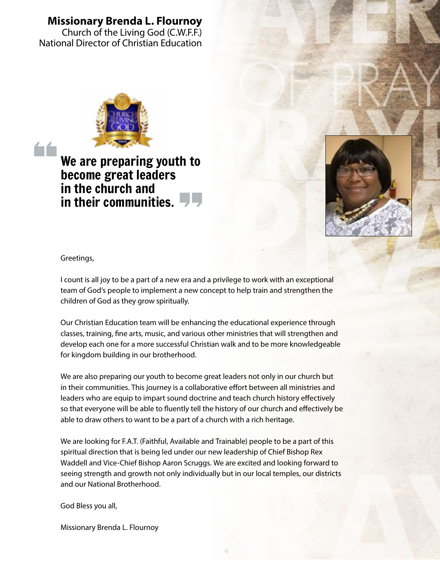# **Missionary Brenda L. Flournoy**

Church of the Living God (C.W.F.F.) National Director of Christian Education



**n** the church and<br>in their communities. We are preparing youth to become great leaders in the church and



**Security** Security Security Security Security Security Security Security Security Security Security Security Security Security Security Security Security Security Security Security Security Security Security Security Secu Greetings,

fo for

**counts any years a part of a new example**<br>
team of God's people to implement a ne<br>
children of God as they grow spiritually. I count is all joy to be a part of a new era and a privilege to work with an exceptional team of God's people to implement a new concept to help train and strengthen the

Our Christian Education team w<br>classes, training, fine arts, music Our Christian Education team will be enhancing the educational experience through classes, training, fine arts, music, and various other ministries that will strengthen and develop each one for a more successful Christian walk and to be more knowledgeable for kingdom building in our brotherhood.

We are also preparing our youth to become great leaders not only in our church but in their communities. This journey is a collaborative effort between all ministries and leaders who are equip to impart sound doctrine and teach church history effectively so that everyone will be able to fluently tell the history of our church and effectively be able to draw others to want to be a part of a church with a rich heritage.

and our National Brotherhood. We are looking for F.A.T. (Faithful, Available and Trainable) people to be a part of this spiritual direction that is being led under our new leadership of Chief Bishop Rex Waddell and Vice-Chief Bishop Aaron Scruggs. We are excited and looking forward to seeing strength and growth not only individually but in our local temples, our districts

God Bless you all, National Sunday School Superintendent

Missionary Brenda L. Flournoy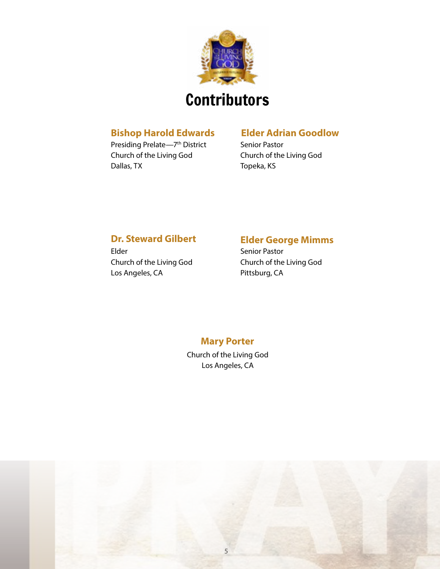

### **Bishop Harold Edwards**

Presiding Prelate—7th District Church of the Living God Dallas, TX

# **Elder Adrian Goodlow**

Senior Pastor Church of the Living God Topeka, KS

# **Dr. Steward Gilbert**

Elder Church of the Living God Los Angeles, CA

# **Elder George Mimms**

Senior Pastor Church of the Living God Pittsburg, CA

# **Mary Porter**

Church of the Living God Los Angeles, CA

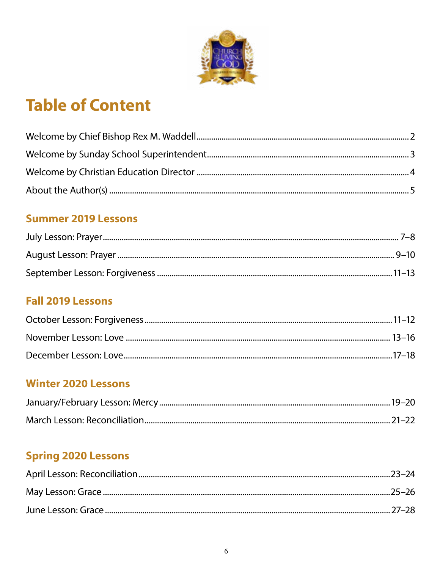

# **Table of Content**

# **Summer 2019 Lessons**

# **Fall 2019 Lessons**

# **Winter 2020 Lessons**

# **Spring 2020 Lessons**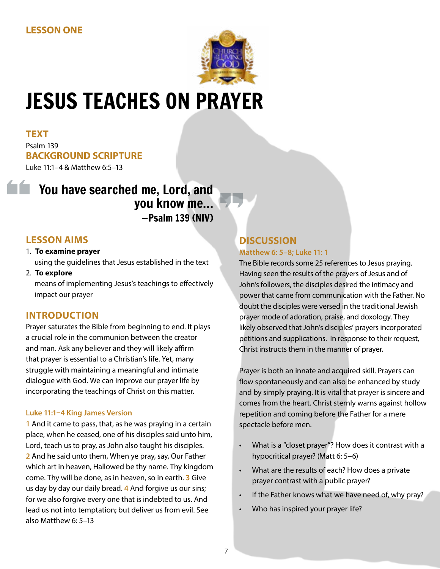

# JESUS TEACHES ON PRAYER

#### **TEXT** Psalm 139 **BACKGROUND SCRIPTURE** Luke 11:1–4 & Matthew 6:5–13

# You have searched me, Lord, and you know me… —Psalm 139 (NIV)

# **LESSON AIMS**

- 1. **To examine prayer**  using the guidelines that Jesus established in the text
- 2. **To explore**  means of implementing Jesus's teachings to effectively impact our prayer

# **INTRODUCTION**

Prayer saturates the Bible from beginning to end. It plays a crucial role in the communion between the creator and man. Ask any believer and they will likely affirm that prayer is essential to a Christian's life. Yet, many struggle with maintaining a meaningful and intimate dialogue with God. We can improve our prayer life by incorporating the teachings of Christ on this matter.

#### **Luke 11:1–4 King James Version**

**1** And it came to pass, that, as he was praying in a certain place, when he ceased, one of his disciples said unto him, Lord, teach us to pray, as John also taught his disciples. **2** And he said unto them, When ye pray, say, Our Father which art in heaven, Hallowed be thy name. Thy kingdom come. Thy will be done, as in heaven, so in earth. **3** Give us day by day our daily bread. **4** And forgive us our sins; for we also forgive every one that is indebted to us. And lead us not into temptation; but deliver us from evil. See also Matthew 6: 5–13

#### **DISCUSSION Matthew 6: 5–8; Luke 11: 1**

The Bible records some 25 references to Jesus praying. Having seen the results of the prayers of Jesus and of John's followers, the disciples desired the intimacy and power that came from communication with the Father. No doubt the disciples were versed in the traditional Jewish prayer mode of adoration, praise, and doxology. They likely observed that John's disciples' prayers incorporated petitions and supplications. In response to their request, Christ instructs them in the manner of prayer.

Prayer is both an innate and acquired skill. Prayers can flow spontaneously and can also be enhanced by study and by simply praying. It is vital that prayer is sincere and comes from the heart. Christ sternly warns against hollow repetition and coming before the Father for a mere spectacle before men.

- What is a "closet prayer"? How does it contrast with a hypocritical prayer? (Matt 6: 5–6)
- What are the results of each? How does a private prayer contrast with a public prayer?
- If the Father knows what we have need of, why pray?
- Who has inspired your prayer life?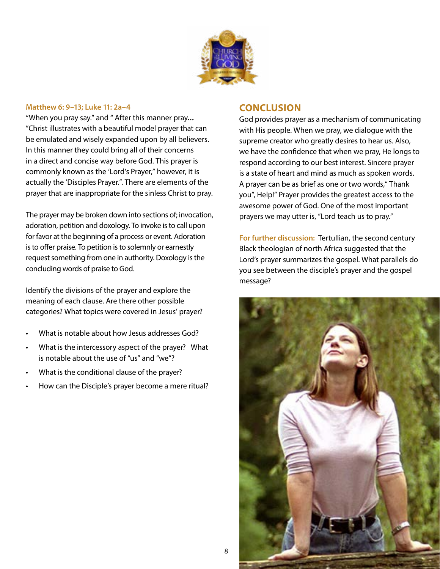

#### **Matthew 6: 9–13; Luke 11: 2a–4**

"When you pray say." and " After this manner pray… "Christ illustrates with a beautiful model prayer that can be emulated and wisely expanded upon by all believers. In this manner they could bring all of their concerns in a direct and concise way before God. This prayer is commonly known as the 'Lord's Prayer," however, it is actually the 'Disciples Prayer.". There are elements of the prayer that are inappropriate for the sinless Christ to pray.

The prayer may be broken down into sections of; invocation, adoration, petition and doxology. To invoke is to call upon for favor at the beginning of a process or event. Adoration is to offer praise. To petition is to solemnly or earnestly request something from one in authority. Doxology is the concluding words of praise to God.

Identify the divisions of the prayer and explore the meaning of each clause. Are there other possible categories? What topics were covered in Jesus' prayer?

- What is notable about how Jesus addresses God?
- What is the intercessory aspect of the prayer? What is notable about the use of "us" and "we"?
- What is the conditional clause of the prayer?
- How can the Disciple's prayer become a mere ritual?

#### **CONCLUSION**

God provides prayer as a mechanism of communicating with His people. When we pray, we dialogue with the supreme creator who greatly desires to hear us. Also, we have the confidence that when we pray, He longs to respond according to our best interest. Sincere prayer is a state of heart and mind as much as spoken words. A prayer can be as brief as one or two words," Thank you", Help!" Prayer provides the greatest access to the awesome power of God. One of the most important prayers we may utter is, "Lord teach us to pray."

**For further discussion:** Tertullian, the second century Black theologian of north Africa suggested that the Lord's prayer summarizes the gospel. What parallels do you see between the disciple's prayer and the gospel message?

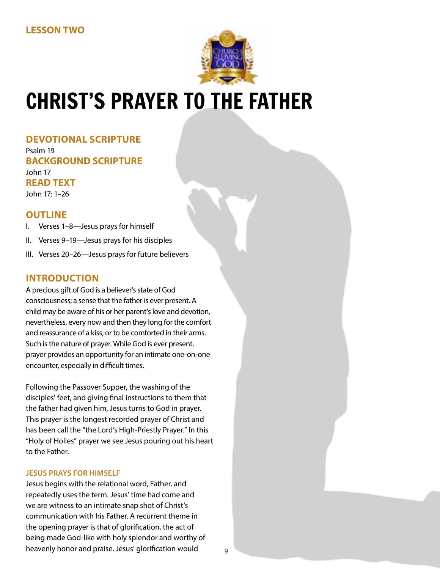

# CHRIST'S PRAYER TO THE FATHER

**DEVOTIONAL SCRIPTURE** Psalm 19 **BACKGROUND SCRIPTURE** John 17 **READ TEXT** John 17: 1–26

## **OUTLINE**

- I. Verses 1–8—Jesus prays for himself
- II. Verses 9–19—Jesus prays for his disciples
- III. Verses 20–26—Jesus prays for future believers

## **INTRODUCTION**

A precious gift of God is a believer's state of God consciousness; a sense that the father is ever present. A child may be aware of his or her parent's love and devotion, nevertheless, every now and then they long for the comfort and reassurance of a kiss, or to be comforted in their arms. Such is the nature of prayer. While God is ever present, prayer provides an opportunity for an intimate one-on-one encounter, especially in difficult times.

Following the Passover Supper, the washing of the disciples' feet, and giving final instructions to them that the father had given him, Jesus turns to God in prayer. This prayer is the longest recorded prayer of Christ and has been call the "the Lord's High-Priestly Prayer." In this "Holy of Holies" prayer we see Jesus pouring out his heart to the Father.

#### **JESUS PRAYS FOR HIMSELF**

Jesus begins with the relational word, Father, and repeatedly uses the term. Jesus' time had come and we are witness to an intimate snap shot of Christ's communication with his Father. A recurrent theme in the opening prayer is that of glorification, the act of being made God-like with holy splendor and worthy of heavenly honor and praise. Jesus' glorification would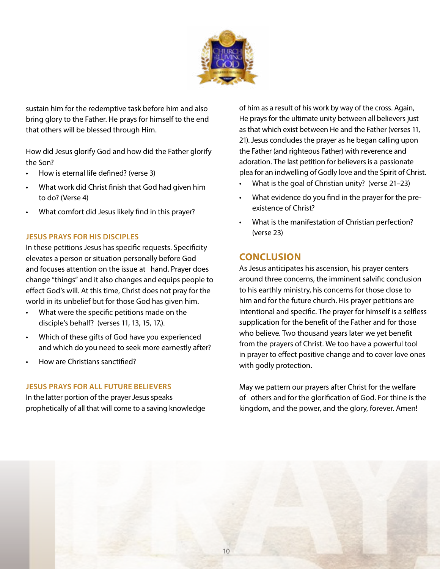

sustain him for the redemptive task before him and also bring glory to the Father. He prays for himself to the end that others will be blessed through Him.

How did Jesus glorify God and how did the Father glorify the Son?

- How is eternal life defined? (verse 3)
- What work did Christ finish that God had given him to do? (Verse 4)
- What comfort did Jesus likely find in this prayer?

#### **JESUS PRAYS FOR HIS DISCIPLES**

In these petitions Jesus has specific requests. Specificity elevates a person or situation personally before God and focuses attention on the issue at hand. Prayer does change "things" and it also changes and equips people to effect God's will. At this time, Christ does not pray for the world in its unbelief but for those God has given him.

- What were the specific petitions made on the disciple's behalf? (verses 11, 13, 15, 17,).
- Which of these gifts of God have you experienced and which do you need to seek more earnestly after?
- How are Christians sanctified?

#### **JESUS PRAYS FOR ALL FUTURE BELIEVERS**

In the latter portion of the prayer Jesus speaks prophetically of all that will come to a saving knowledge of him as a result of his work by way of the cross. Again, He prays for the ultimate unity between all believers just as that which exist between He and the Father (verses 11, 21). Jesus concludes the prayer as he began calling upon the Father (and righteous Father) with reverence and adoration. The last petition for believers is a passionate plea for an indwelling of Godly love and the Spirit of Christ.

- What is the goal of Christian unity? (verse 21-23)
- What evidence do you find in the prayer for the preexistence of Christ?
- What is the manifestation of Christian perfection? (verse 23)

# **CONCLUSION**

As Jesus anticipates his ascension, his prayer centers around three concerns, the imminent salvific conclusion to his earthly ministry, his concerns for those close to him and for the future church. His prayer petitions are intentional and specific. The prayer for himself is a selfless supplication for the benefit of the Father and for those who believe. Two thousand years later we yet benefit from the prayers of Christ. We too have a powerful tool in prayer to effect positive change and to cover love ones with godly protection.

May we pattern our prayers after Christ for the welfare of others and for the glorification of God. For thine is the kingdom, and the power, and the glory, forever. Amen!

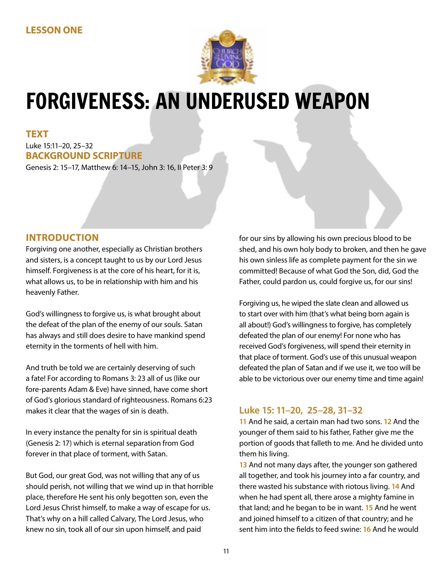

# FORGIVENESS: AN UNDERUSED WEAPON

**TEXT** Luke 15:11–20, 25–32 **BACKGROUND SCRIPTURE**

Genesis 2: 15–17, Matthew 6: 14–15, John 3: 16, II Peter 3: 9

# **INTRODUCTION**

Forgiving one another, especially as Christian brothers and sisters, is a concept taught to us by our Lord Jesus himself. Forgiveness is at the core of his heart, for it is, what allows us, to be in relationship with him and his heavenly Father.

God's willingness to forgive us, is what brought about the defeat of the plan of the enemy of our souls. Satan has always and still does desire to have mankind spend eternity in the torments of hell with him.

And truth be told we are certainly deserving of such a fate! For according to Romans 3: 23 all of us (like our fore-parents Adam & Eve) have sinned, have come short of God's glorious standard of righteousness. Romans 6:23 makes it clear that the wages of sin is death.

In every instance the penalty for sin is spiritual death (Genesis 2: 17) which is eternal separation from God forever in that place of torment, with Satan.

But God, our great God, was not willing that any of us should perish, not willing that we wind up in that horrible place, therefore He sent his only begotten son, even the Lord Jesus Christ himself, to make a way of escape for us. That's why on a hill called Calvary, The Lord Jesus, who knew no sin, took all of our sin upon himself, and paid

for our sins by allowing his own precious blood to be shed, and his own holy body to broken, and then he gave his own sinless life as complete payment for the sin we committed! Because of what God the Son, did, God the Father, could pardon us, could forgive us, for our sins!

Forgiving us, he wiped the slate clean and allowed us to start over with him (that's what being born again is all about!) God's willingness to forgive, has completely defeated the plan of our enemy! For none who has received God's forgiveness, will spend their eternity in that place of torment. God's use of this unusual weapon defeated the plan of Satan and if we use it, we too will be able to be victorious over our enemy time and time again!

# **Luke 15: 11–20, 25–28, 31–32**

**11** And he said, a certain man had two sons. **12** And the younger of them said to his father, Father give me the portion of goods that falleth to me. And he divided unto them his living.

**13** And not many days after, the younger son gathered all together, and took his journey into a far country, and there wasted his substance with riotous living. **14** And when he had spent all, there arose a mighty famine in that land; and he began to be in want. **15** And he went and joined himself to a citizen of that country; and he sent him into the fields to feed swine: **16** And he would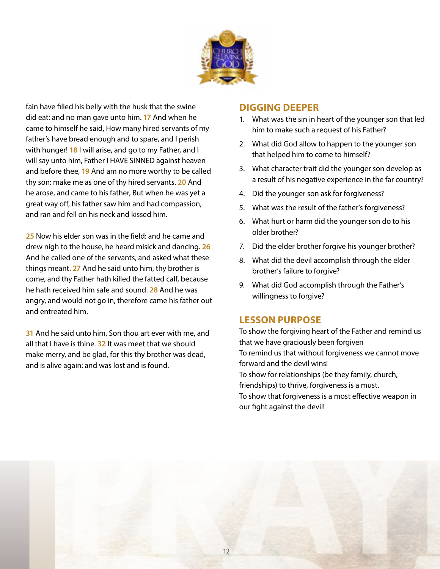

fain have filled his belly with the husk that the swine did eat: and no man gave unto him. **17** And when he came to himself he said, How many hired servants of my father's have bread enough and to spare, and I perish with hunger! **18** I will arise, and go to my Father, and I will say unto him, Father I HAVE SINNED against heaven and before thee, **19** And am no more worthy to be called thy son: make me as one of thy hired servants. **20** And he arose, and came to his father, But when he was yet a great way off, his father saw him and had compassion, and ran and fell on his neck and kissed him.

**25** Now his elder son was in the field: and he came and drew nigh to the house, he heard misick and dancing. **26**  And he called one of the servants, and asked what these things meant. **27** And he said unto him, thy brother is come, and thy Father hath killed the fatted calf, because he hath received him safe and sound. **28** And he was angry, and would not go in, therefore came his father out and entreated him.

**31** And he said unto him, Son thou art ever with me, and all that I have is thine. **32** It was meet that we should make merry, and be glad, for this thy brother was dead, and is alive again: and was lost and is found.

### **DIGGING DEEPER**

- 1. What was the sin in heart of the younger son that led him to make such a request of his Father?
- 2. What did God allow to happen to the younger son that helped him to come to himself?
- 3. What character trait did the younger son develop as a result of his negative experience in the far country?
- 4. Did the younger son ask for forgiveness?
- 5. What was the result of the father's forgiveness?
- 6. What hurt or harm did the younger son do to his older brother?
- 7. Did the elder brother forgive his younger brother?
- 8. What did the devil accomplish through the elder brother's failure to forgive?
- 9. What did God accomplish through the Father's willingness to forgive?

## **LESSON PURPOSE**

To show the forgiving heart of the Father and remind us that we have graciously been forgiven To remind us that without forgiveness we cannot move forward and the devil wins! To show for relationships (be they family, church, friendships) to thrive, forgiveness is a must. To show that forgiveness is a most effective weapon in our fight against the devil!

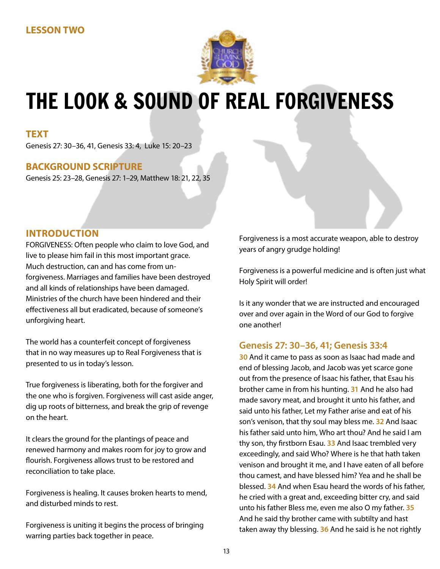

# THE LOOK & SOUND OF REAL FORGIVENESS

#### **TEXT**

Genesis 27: 30–36, 41, Genesis 33: 4, Luke 15: 20–23

## **BACKGROUND SCRIPTURE**

Genesis 25: 23–28, Genesis 27: 1–29, Matthew 18: 21, 22, 35

## **INTRODUCTION**

FORGIVENESS: Often people who claim to love God, and live to please him fail in this most important grace. Much destruction, can and has come from unforgiveness. Marriages and families have been destroyed and all kinds of relationships have been damaged. Ministries of the church have been hindered and their effectiveness all but eradicated, because of someone's unforgiving heart.

The world has a counterfeit concept of forgiveness that in no way measures up to Real Forgiveness that is presented to us in today's lesson.

True forgiveness is liberating, both for the forgiver and the one who is forgiven. Forgiveness will cast aside anger, dig up roots of bitterness, and break the grip of revenge on the heart.

It clears the ground for the plantings of peace and renewed harmony and makes room for joy to grow and flourish. Forgiveness allows trust to be restored and reconciliation to take place.

Forgiveness is healing. It causes broken hearts to mend, and disturbed minds to rest.

Forgiveness is uniting it begins the process of bringing warring parties back together in peace.

Forgiveness is a most accurate weapon, able to destroy years of angry grudge holding!

Forgiveness is a powerful medicine and is often just what Holy Spirit will order!

Is it any wonder that we are instructed and encouraged over and over again in the Word of our God to forgive one another!

#### **Genesis 27: 30–36, 41; Genesis 33:4**

**30** And it came to pass as soon as Isaac had made and end of blessing Jacob, and Jacob was yet scarce gone out from the presence of Isaac his father, that Esau his brother came in from his hunting. **31** And he also had made savory meat, and brought it unto his father, and said unto his father, Let my Father arise and eat of his son's venison, that thy soul may bless me. **32** And Isaac his father said unto him, Who art thou? And he said I am thy son, thy firstborn Esau. **33** And Isaac trembled very exceedingly, and said Who? Where is he that hath taken venison and brought it me, and I have eaten of all before thou camest, and have blessed him? Yea and he shall be blessed. **34** And when Esau heard the words of his father, he cried with a great and, exceeding bitter cry, and said unto his father Bless me, even me also O my father. **35** And he said thy brother came with subtilty and hast taken away thy blessing. **36** And he said is he not rightly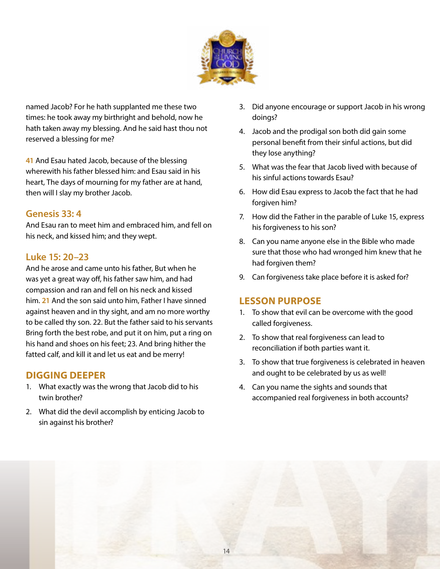

named Jacob? For he hath supplanted me these two times: he took away my birthright and behold, now he hath taken away my blessing. And he said hast thou not reserved a blessing for me?

**41** And Esau hated Jacob, because of the blessing wherewith his father blessed him: and Esau said in his heart, The days of mourning for my father are at hand, then will I slay my brother Jacob.

# **Genesis 33: 4**

And Esau ran to meet him and embraced him, and fell on his neck, and kissed him; and they wept.

# **Luke 15: 20–23**

And he arose and came unto his father, But when he was yet a great way off, his father saw him, and had compassion and ran and fell on his neck and kissed him. **21** And the son said unto him, Father I have sinned against heaven and in thy sight, and am no more worthy to be called thy son. 22. But the father said to his servants Bring forth the best robe, and put it on him, put a ring on his hand and shoes on his feet; 23. And bring hither the fatted calf, and kill it and let us eat and be merry!

# **DIGGING DEEPER**

- 1. What exactly was the wrong that Jacob did to his twin brother?
- 2. What did the devil accomplish by enticing Jacob to sin against his brother?
- 3. Did anyone encourage or support Jacob in his wrong doings?
- 4. Jacob and the prodigal son both did gain some personal benefit from their sinful actions, but did they lose anything?
- 5. What was the fear that Jacob lived with because of his sinful actions towards Esau?
- 6. How did Esau express to Jacob the fact that he had forgiven him?
- 7. How did the Father in the parable of Luke 15, express his forgiveness to his son?
- 8. Can you name anyone else in the Bible who made sure that those who had wronged him knew that he had forgiven them?
- 9. Can forgiveness take place before it is asked for?

# **LESSON PURPOSE**

- 1. To show that evil can be overcome with the good called forgiveness.
- 2. To show that real forgiveness can lead to reconciliation if both parties want it.
- 3. To show that true forgiveness is celebrated in heaven and ought to be celebrated by us as well!
- 4. Can you name the sights and sounds that accompanied real forgiveness in both accounts?

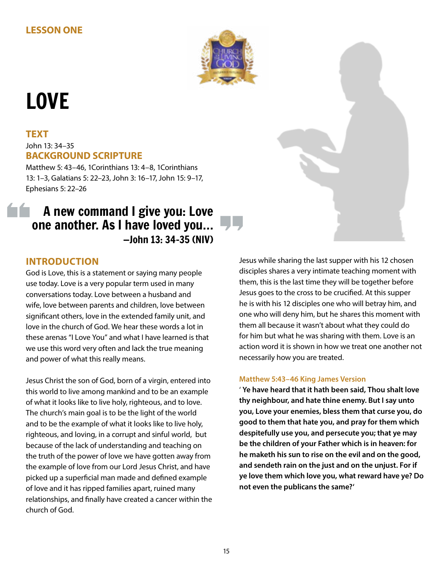

# LOVE

# **TEXT** John 13: 34–35 **BACKGROUND SCRIPTURE**

Matthew 5: 43–46, 1Corinthians 13: 4–8, 1Corinthians 13: 1–3, Galatians 5: 22–23, John 3: 16–17, John 15: 9–17, Ephesians 5: 22–26

# A new command I give you: Love one another. As I have loved you… —John 13: 34–35 (NIV)

# **INTRODUCTION**

God is Love, this is a statement or saying many people use today. Love is a very popular term used in many conversations today. Love between a husband and wife, love between parents and children, love between significant others, love in the extended family unit, and love in the church of God. We hear these words a lot in these arenas "I Love You" and what I have learned is that we use this word very often and lack the true meaning and power of what this really means.

Jesus Christ the son of God, born of a virgin, entered into this world to live among mankind and to be an example of what it looks like to live holy, righteous, and to love. The church's main goal is to be the light of the world and to be the example of what it looks like to live holy, righteous, and loving, in a corrupt and sinful world, but because of the lack of understanding and teaching on the truth of the power of love we have gotten away from the example of love from our Lord Jesus Christ, and have picked up a superficial man made and defined example of love and it has ripped families apart, ruined many relationships, and finally have created a cancer within the church of God.

Jesus while sharing the last supper with his 12 chosen disciples shares a very intimate teaching moment with them, this is the last time they will be together before Jesus goes to the cross to be crucified. At this supper he is with his 12 disciples one who will betray him, and one who will deny him, but he shares this moment with them all because it wasn't about what they could do for him but what he was sharing with them. Love is an action word it is shown in how we treat one another not necessarily how you are treated.

#### **Matthew 5:43–46 King James Version**

' **Ye have heard that it hath been said, Thou shalt love thy neighbour, and hate thine enemy. But I say unto you, Love your enemies, bless them that curse you, do good to them that hate you, and pray for them which despitefully use you, and persecute you; that ye may be the children of your Father which is in heaven: for he maketh his sun to rise on the evil and on the good, and sendeth rain on the just and on the unjust. For if ye love them which love you, what reward have ye? Do not even the publicans the same?'**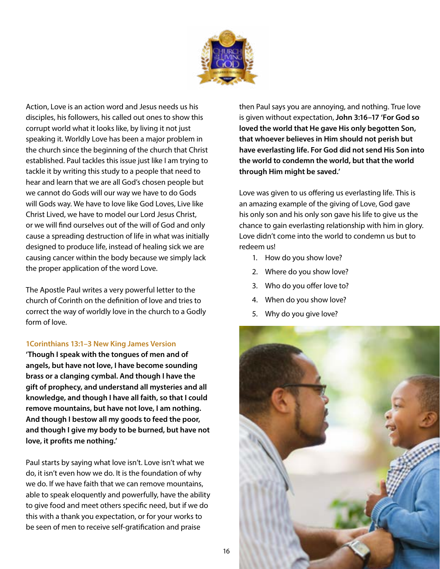

Action, Love is an action word and Jesus needs us his disciples, his followers, his called out ones to show this corrupt world what it looks like, by living it not just speaking it. Worldly Love has been a major problem in the church since the beginning of the church that Christ established. Paul tackles this issue just like I am trying to tackle it by writing this study to a people that need to hear and learn that we are all God's chosen people but we cannot do Gods will our way we have to do Gods will Gods way. We have to love like God Loves, Live like Christ Lived, we have to model our Lord Jesus Christ, or we will find ourselves out of the will of God and only cause a spreading destruction of life in what was initially designed to produce life, instead of healing sick we are causing cancer within the body because we simply lack the proper application of the word Love.

The Apostle Paul writes a very powerful letter to the church of Corinth on the definition of love and tries to correct the way of worldly love in the church to a Godly form of love.

#### **1Corinthians 13:1–3 New King James Version**

**'Though I speak with the tongues of men and of angels, but have not love, I have become sounding brass or a clanging cymbal. And though I have the gift of prophecy, and understand all mysteries and all knowledge, and though I have all faith, so that I could remove mountains, but have not love, I am nothing. And though I bestow all my goods to feed the poor, and though I give my body to be burned, but have not love, it profits me nothing.'**

Paul starts by saying what love isn't. Love isn't what we do, it isn't even how we do. It is the foundation of why we do. If we have faith that we can remove mountains, able to speak eloquently and powerfully, have the ability to give food and meet others specific need, but if we do this with a thank you expectation, or for your works to be seen of men to receive self-gratification and praise

then Paul says you are annoying, and nothing. True love is given without expectation, **John 3:16–17 'For God so loved the world that He gave His only begotten Son, that whoever believes in Him should not perish but have everlasting life. For God did not send His Son into the world to condemn the world, but that the world through Him might be saved.'**

Love was given to us offering us everlasting life. This is an amazing example of the giving of Love, God gave his only son and his only son gave his life to give us the chance to gain everlasting relationship with him in glory. Love didn't come into the world to condemn us but to redeem us!

- 1. How do you show love?
- 2. Where do you show love?
- 3. Who do you offer love to?
- 4. When do you show love?
- 5. Why do you give love?

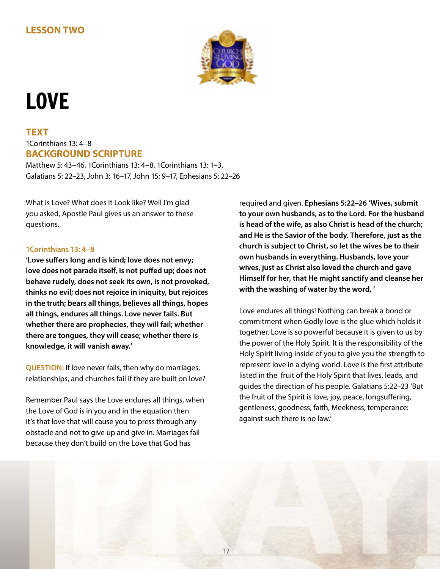# **LESSON TWO**



# LOVE

## **TEXT** 1Corinthians 13: 4–8 **BACKGROUND SCRIPTURE**

Matthew 5: 43–46, 1Corinthians 13: 4–8, 1Corinthians 13: 1–3, Galatians 5: 22–23, John 3: 16–17, John 15: 9–17, Ephesians 5: 22–26

What is Love? What does it Look like? Well I'm glad you asked, Apostle Paul gives us an answer to these questions.

#### **1Corinthians 13: 4–8**

**'Love suffers long and is kind; love does not envy; love does not parade itself, is not puffed up; does not behave rudely, does not seek its own, is not provoked, thinks no evil; does not rejoice in iniquity, but rejoices in the truth; bears all things, believes all things, hopes all things, endures all things. Love never fails. But whether there are prophecies, they will fail; whether there are tongues, they will cease; whether there is knowledge, it will vanish away.'**

**QUESTION:** If love never fails, then why do marriages, relationships, and churches fail if they are built on love?

Remember Paul says the Love endures all things, when the Love of God is in you and in the equation then it's that love that will cause you to press through any obstacle and not to give up and give in. Marriages fail because they don't build on the Love that God has

required and given. **Ephesians 5:22–26 'Wives, submit to your own husbands, as to the Lord. For the husband is head of the wife, as also Christ is head of the church; and He is the Savior of the body. Therefore, just as the church is subject to Christ, so let the wives be to their own husbands in everything. Husbands, love your wives, just as Christ also loved the church and gave Himself for her, that He might sanctify and cleanse her with the washing of water by the word, '**

Love endures all things! Nothing can break a bond or commitment when Godly love is the glue which holds it together. Love is so powerful because it is given to us by the power of the Holy Spirit. It is the responsibility of the Holy Spirit living inside of you to give you the strength to represent love in a dying world. Love is the first attribute listed in the fruit of the Holy Spirit that lives, leads, and guides the direction of his people. Galatians 5:22–23 'But the fruit of the Spirit is love, joy, peace, longsuffering, gentleness, goodness, faith, Meekness, temperance: against such there is no law.'

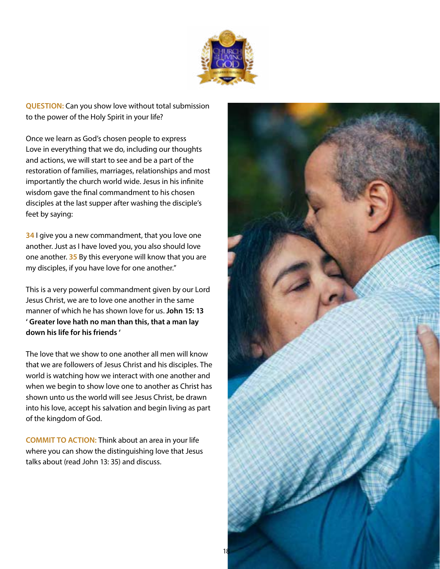

**QUESTION:** Can you show love without total submission to the power of the Holy Spirit in your life?

Once we learn as God's chosen people to express Love in everything that we do, including our thoughts and actions, we will start to see and be a part of the restoration of families, marriages, relationships and most importantly the church world wide. Jesus in his infinite wisdom gave the final commandment to his chosen disciples at the last supper after washing the disciple's feet by saying:

**34** I give you a new commandment, that you love one another. Just as I have loved you, you also should love one another. **35** By this everyone will know that you are my disciples, if you have love for one another."

This is a very powerful commandment given by our Lord Jesus Christ, we are to love one another in the same manner of which he has shown love for us. **John 15: 13 ' Greater love hath no man than this, that a man lay down his life for his friends '**

The love that we show to one another all men will know that we are followers of Jesus Christ and his disciples. The world is watching how we interact with one another and when we begin to show love one to another as Christ has shown unto us the world will see Jesus Christ, be drawn into his love, accept his salvation and begin living as part of the kingdom of God.

**COMMIT TO ACTION:** Think about an area in your life where you can show the distinguishing love that Jesus talks about (read John 13: 35) and discuss.

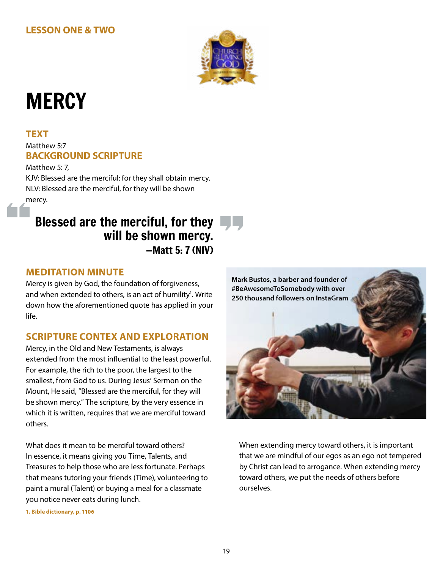# **LESSON ONE & TWO**



# **MERCY**

#### **TEXT**

## Matthew 5:7 **BACKGROUND SCRIPTURE**

Matthew 5: 7, KJV: Blessed are the merciful: for they shall obtain mercy. NLV: Blessed are the merciful, for they will be shown mercy.

# Blessed are the merciful, for they  $\Box$ will be shown mercy. —Matt 5: 7 (NIV)

# **MEDITATION MINUTE**

Mercy is given by God, the foundation of forgiveness, and when extended to others, is an act of humility<sup>1</sup>. Write down how the aforementioned quote has applied in your life.

# **SCRIPTURE CONTEX AND EXPLORATION**

Mercy, in the Old and New Testaments, is always extended from the most influential to the least powerful. For example, the rich to the poor, the largest to the smallest, from God to us. During Jesus' Sermon on the Mount, He said, "Blessed are the merciful, for they will be shown mercy." The scripture, by the very essence in which it is written, requires that we are merciful toward others.

What does it mean to be merciful toward others? In essence, it means giving you Time, Talents, and Treasures to help those who are less fortunate. Perhaps that means tutoring your friends (Time), volunteering to paint a mural (Talent) or buying a meal for a classmate you notice never eats during lunch.



When extending mercy toward others, it is important that we are mindful of our egos as an ego not tempered by Christ can lead to arrogance. When extending mercy toward others, we put the needs of others before ourselves.

**1. Bible dictionary, p. 1106**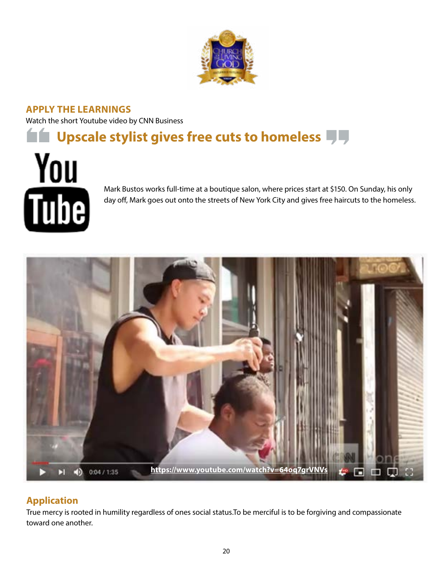

**APPLY THE LEARNINGS** Watch the short Youtube video by CNN Business

# **LET** Upscale stylist gives free cuts to homeless  $\P\P\P$



Mark Bustos works full-time at a boutique salon, where prices start at \$150. On Sunday, his only day off, Mark goes out onto the streets of New York City and gives free haircuts to the homeless.



# **Application**

True mercy is rooted in humility regardless of ones social status.To be merciful is to be forgiving and compassionate toward one another.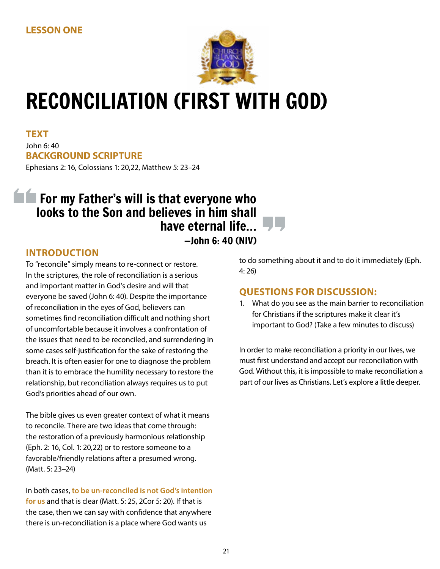

# RECONCILIATION (FIRST WITH GOD)

**TEXT** John 6: 40 **BACKGROUND SCRIPTURE** Ephesians 2: 16, Colossians 1: 20,22, Matthew 5: 23–24

# **Formy Father's will is that everyone who** looks to the Son and believes in him shall have eternal life... —John 6: 40 (NIV)

# **INTRODUCTION**

To "reconcile" simply means to re-connect or restore. In the scriptures, the role of reconciliation is a serious and important matter in God's desire and will that everyone be saved (John 6: 40). Despite the importance of reconciliation in the eyes of God, believers can sometimes find reconciliation difficult and nothing short of uncomfortable because it involves a confrontation of the issues that need to be reconciled, and surrendering in some cases self-justification for the sake of restoring the breach. It is often easier for one to diagnose the problem than it is to embrace the humility necessary to restore the relationship, but reconciliation always requires us to put God's priorities ahead of our own.

The bible gives us even greater context of what it means to reconcile. There are two ideas that come through: the restoration of a previously harmonious relationship (Eph. 2: 16, Col. 1: 20,22) or to restore someone to a favorable/friendly relations after a presumed wrong. (Matt. 5: 23–24)

In both cases, **to be un-reconciled is not God's intention for us** and that is clear (Matt. 5: 25, 2Cor 5: 20). If that is the case, then we can say with confidence that anywhere there is un-reconciliation is a place where God wants us

to do something about it and to do it immediately (Eph. 4: 26)

# **QUESTIONS FOR DISCUSSION:**

1. What do you see as the main barrier to reconciliation for Christians if the scriptures make it clear it's important to God? (Take a few minutes to discuss)

In order to make reconciliation a priority in our lives, we must first understand and accept our reconciliation with God. Without this, it is impossible to make reconciliation a part of our lives as Christians. Let's explore a little deeper.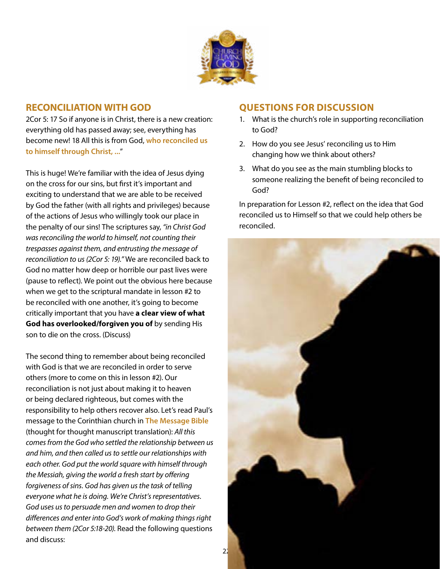

## **RECONCILIATION WITH GOD**

2Cor 5: 17 So if anyone is in Christ, there is a new creation: everything old has passed away; see, everything has become new! 18 All this is from God, **who reconciled us to himself through Christ, ...**"

This is huge! We're familiar with the idea of Jesus dying on the cross for our sins, but first it's important and exciting to understand that we are able to be received by God the father (with all rights and privileges) because of the actions of Jesus who willingly took our place in the penalty of our sins! The scriptures say, *"in Christ God was reconciling the world to himself, not counting their trespasses against them, and entrusting the message of reconciliation to us (2Cor 5: 19)."* We are reconciled back to God no matter how deep or horrible our past lives were (pause to reflect). We point out the obvious here because when we get to the scriptural mandate in lesson #2 to be reconciled with one another, it's going to become critically important that you have **a clear view of what God has overlooked/forgiven you of** by sending His son to die on the cross. (Discuss)

The second thing to remember about being reconciled with God is that we are reconciled in order to serve others (more to come on this in lesson #2). Our reconciliation is not just about making it to heaven or being declared righteous, but comes with the responsibility to help others recover also. Let's read Paul's message to the Corinthian church in **The Message Bible**  (thought for thought manuscript translation): *All this comes from the God who settled the relationship between us and him, and then called us to settle our relationships with each other. God put the world square with himself through the Messiah, giving the world a fresh start by offering forgiveness of sins. God has given us the task of telling everyone what he is doing. We're Christ's representatives. God uses us to persuade men and women to drop their differences and enter into God's work of making things right between them (2Cor 5:18-20).* Read the following questions and discuss:

## **QUESTIONS FOR DISCUSSION**

- 1. What is the church's role in supporting reconciliation to God?
- 2. How do you see Jesus' reconciling us to Him changing how we think about others?
- 3. What do you see as the main stumbling blocks to someone realizing the benefit of being reconciled to God?

In preparation for Lesson #2, reflect on the idea that God reconciled us to Himself so that we could help others be reconciled.

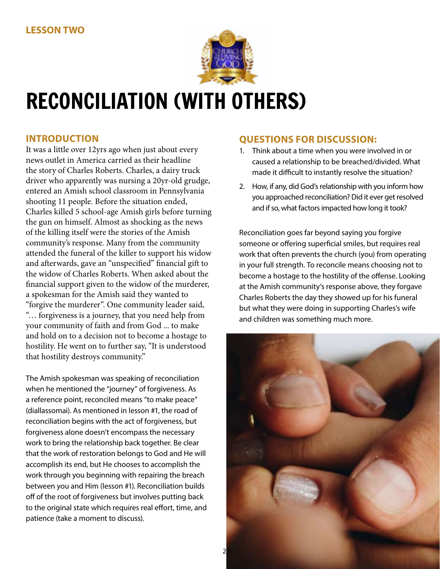

# RECONCILIATION (WITH OTHERS)

# **INTRODUCTION**

It was a little over 12yrs ago when just about every news outlet in America carried as their headline the story of Charles Roberts. Charles, a dairy truck driver who apparently was nursing a 20yr-old grudge, entered an Amish school classroom in Pennsylvania shooting 11 people. Before the situation ended, Charles killed 5 school-age Amish girls before turning the gun on himself. Almost as shocking as the news of the killing itself were the stories of the Amish community's response. Many from the community attended the funeral of the killer to support his widow and afterwards, gave an "unspecified" financial gift to the widow of Charles Roberts. When asked about the financial support given to the widow of the murderer, a spokesman for the Amish said they wanted to "forgive the murderer". One community leader said, "… forgiveness is a journey, that you need help from your community of faith and from God ... to make and hold on to a decision not to become a hostage to hostility. He went on to further say, "It is understood that hostility destroys community."

The Amish spokesman was speaking of reconciliation when he mentioned the "journey" of forgiveness. As a reference point, reconciled means "to make peace" (diallassomai). As mentioned in lesson #1, the road of reconciliation begins with the act of forgiveness, but forgiveness alone doesn't encompass the necessary work to bring the relationship back together. Be clear that the work of restoration belongs to God and He will accomplish its end, but He chooses to accomplish the work through you beginning with repairing the breach between you and Him (lesson #1). Reconciliation builds off of the root of forgiveness but involves putting back to the original state which requires real effort, time, and patience (take a moment to discuss).

# **QUESTIONS FOR DISCUSSION:**

- 1. Think about a time when you were involved in or caused a relationship to be breached/divided. What made it difficult to instantly resolve the situation?
- 2. How, if any, did God's relationship with you inform how you approached reconciliation? Did it ever get resolved and if so, what factors impacted how long it took?

Reconciliation goes far beyond saying you forgive someone or offering superficial smiles, but requires real work that often prevents the church (you) from operating in your full strength. To reconcile means choosing not to become a hostage to the hostility of the offense. Looking at the Amish community's response above, they forgave Charles Roberts the day they showed up for his funeral but what they were doing in supporting Charles's wife and children was something much more.

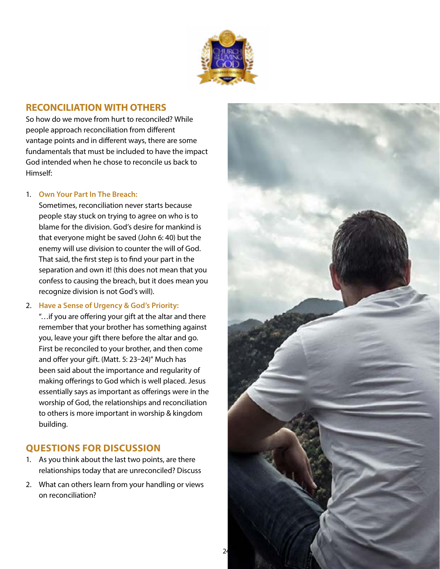

### **RECONCILIATION WITH OTHERS**

So how do we move from hurt to reconciled? While people approach reconciliation from different vantage points and in different ways, there are some fundamentals that must be included to have the impact God intended when he chose to reconcile us back to Himself:

#### 1. **Own Your Part In The Breach:**

Sometimes, reconciliation never starts because people stay stuck on trying to agree on who is to blame for the division. God's desire for mankind is that everyone might be saved (John 6: 40) but the enemy will use division to counter the will of God. That said, the first step is to find your part in the separation and own it! (this does not mean that you confess to causing the breach, but it does mean you recognize division is not God's will).

#### 2. **Have a Sense of Urgency & God's Priority:**

"…if you are offering your gift at the altar and there remember that your brother has something against you, leave your gift there before the altar and go. First be reconciled to your brother, and then come and offer your gift. (Matt. 5: 23–24)" Much has been said about the importance and regularity of making offerings to God which is well placed. Jesus essentially says as important as offerings were in the worship of God, the relationships and reconciliation to others is more important in worship & kingdom building.

## **QUESTIONS FOR DISCUSSION**

- 1. As you think about the last two points, are there relationships today that are unreconciled? Discuss
- 2. What can others learn from your handling or views on reconciliation?

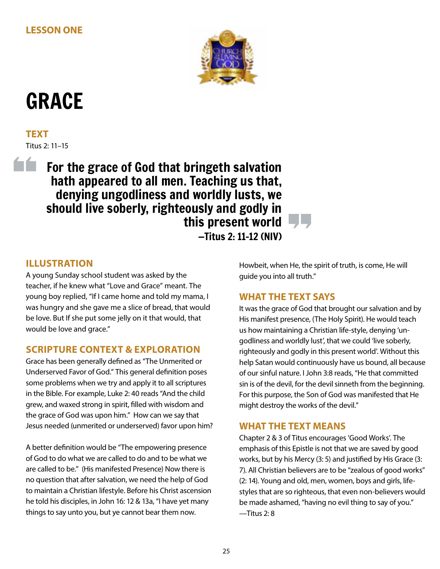

# GRACE

**TEXT** Titus 2: 11–15

í fi

For the grace of God that bringeth salvation hath appeared to all men. Teaching us that, denying ungodliness and worldly lusts, we should live soberly, righteously and godly in this present world —Titus 2: 11–12 (NIV)

# **ILLUSTRATION**

A young Sunday school student was asked by the teacher, if he knew what "Love and Grace" meant. The young boy replied, "If I came home and told my mama, I was hungry and she gave me a slice of bread, that would be love. But If she put some jelly on it that would, that would be love and grace."

# **SCRIPTURE CONTEXT & EXPLORATION**

Grace has been generally defined as "The Unmerited or Underserved Favor of God." This general definition poses some problems when we try and apply it to all scriptures in the Bible. For example, Luke 2: 40 reads "And the child grew, and waxed strong in spirit, filled with wisdom and the grace of God was upon him." How can we say that Jesus needed (unmerited or underserved) favor upon him?

A better definition would be "The empowering presence of God to do what we are called to do and to be what we are called to be." (His manifested Presence) Now there is no question that after salvation, we need the help of God to maintain a Christian lifestyle. Before his Christ ascension he told his disciples, in John 16: 12 & 13a, "I have yet many things to say unto you, but ye cannot bear them now.

Howbeit, when He, the spirit of truth, is come, He will guide you into all truth."

# **WHAT THE TEXT SAYS**

It was the grace of God that brought our salvation and by His manifest presence, (The Holy Spirit). He would teach us how maintaining a Christian life-style, denying 'ungodliness and worldly lust', that we could 'live soberly, righteously and godly in this present world'. Without this help Satan would continuously have us bound, all because of our sinful nature. I John 3:8 reads, "He that committed sin is of the devil, for the devil sinneth from the beginning. For this purpose, the Son of God was manifested that He might destroy the works of the devil."

# **WHAT THE TEXT MEANS**

Chapter 2 & 3 of Titus encourages 'Good Works'. The emphasis of this Epistle is not that we are saved by good works, but by his Mercy (3: 5) and justified by His Grace (3: 7). All Christian believers are to be "zealous of good works" (2: 14). Young and old, men, women, boys and girls, lifestyles that are so righteous, that even non-believers would be made ashamed, "having no evil thing to say of you." —Titus 2: 8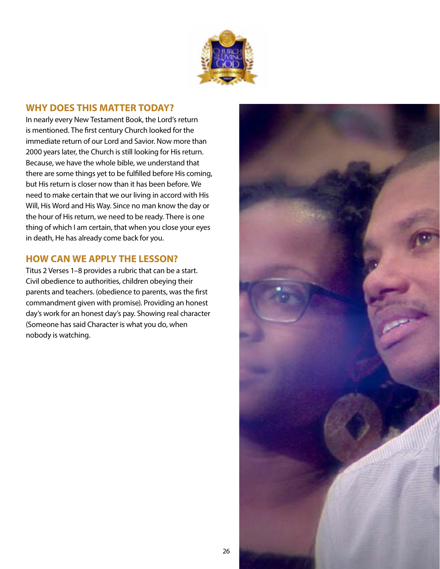

#### **WHY DOES THIS MATTER TODAY?**

In nearly every New Testament Book, the Lord's return is mentioned. The first century Church looked for the immediate return of our Lord and Savior. Now more than 2000 years later, the Church is still looking for His return. Because, we have the whole bible, we understand that there are some things yet to be fulfilled before His coming, but His return is closer now than it has been before. We need to make certain that we our living in accord with His Will, His Word and His Way. Since no man know the day or the hour of His return, we need to be ready. There is one thing of which I am certain, that when you close your eyes in death, He has already come back for you.

### **HOW CAN WE APPLY THE LESSON?**

Titus 2 Verses 1–8 provides a rubric that can be a start. Civil obedience to authorities, children obeying their parents and teachers. (obedience to parents, was the first commandment given with promise). Providing an honest day's work for an honest day's pay. Showing real character (Someone has said Character is what you do, when nobody is watching.

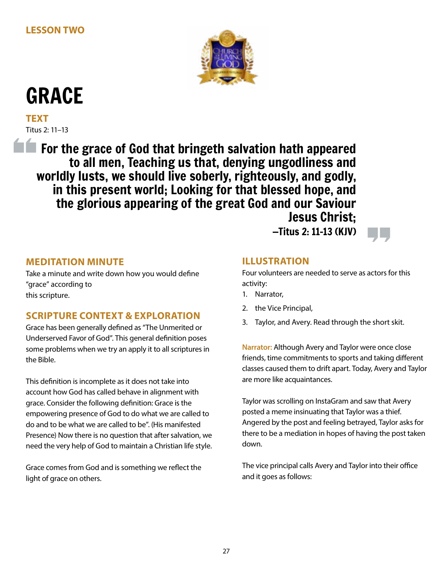

# GRACE

**TEXT** Titus 2: 11–13

**For the grace of God that bringeth salvation hath appeared** to all men, Teaching us that, denying ungodliness and worldly lusts, we should live soberly, righteously, and godly, in this present world; Looking for that blessed hope, and the glorious appearing of the great God and our Saviour Jesus Christ;

—Titus 2: 11–13 (KJV)

## **MEDITATION MINUTE**

Take a minute and write down how you would define "grace" according to this scripture.

## **SCRIPTURE CONTEXT & EXPLORATION**

Grace has been generally defined as "The Unmerited or Underserved Favor of God". This general definition poses some problems when we try an apply it to all scriptures in the Bible.

This definition is incomplete as it does not take into account how God has called behave in alignment with grace. Consider the following definition: Grace is the empowering presence of God to do what we are called to do and to be what we are called to be". (His manifested Presence) Now there is no question that after salvation, we need the very help of God to maintain a Christian life style.

Grace comes from God and is something we reflect the light of grace on others.

## **ILLUSTRATION**

Four volunteers are needed to serve as actors for this activity:

- 1. Narrator,
- 2. the Vice Principal,
- 3. Taylor, and Avery. Read through the short skit.

**Narrator:** Although Avery and Taylor were once close friends, time commitments to sports and taking different classes caused them to drift apart. Today, Avery and Taylor are more like acquaintances.

Taylor was scrolling on InstaGram and saw that Avery posted a meme insinuating that Taylor was a thief. Angered by the post and feeling betrayed, Taylor asks for there to be a mediation in hopes of having the post taken down.

The vice principal calls Avery and Taylor into their office and it goes as follows: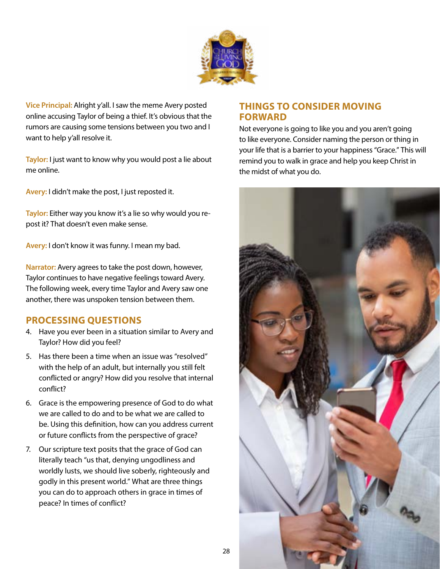

**Vice Principal:** Alright y'all. I saw the meme Avery posted online accusing Taylor of being a thief. It's obvious that the rumors are causing some tensions between you two and I want to help y'all resolve it.

**Taylor:** I just want to know why you would post a lie about me online.

**Avery:** I didn't make the post, I just reposted it.

**Taylor:** Either way you know it's a lie so why would you repost it? That doesn't even make sense.

**Avery:** I don't know it was funny. I mean my bad.

**Narrator:** Avery agrees to take the post down, however, Taylor continues to have negative feelings toward Avery. The following week, every time Taylor and Avery saw one another, there was unspoken tension between them.

## **PROCESSING QUESTIONS**

- 4. Have you ever been in a situation similar to Avery and Taylor? How did you feel?
- 5. Has there been a time when an issue was "resolved" with the help of an adult, but internally you still felt conflicted or angry? How did you resolve that internal conflict?
- 6. Grace is the empowering presence of God to do what we are called to do and to be what we are called to be. Using this definition, how can you address current or future conflicts from the perspective of grace?
- 7. Our scripture text posits that the grace of God can literally teach "us that, denying ungodliness and worldly lusts, we should live soberly, righteously and godly in this present world." What are three things you can do to approach others in grace in times of peace? In times of conflict?

## **THINGS TO CONSIDER MOVING FORWARD**

Not everyone is going to like you and you aren't going to like everyone. Consider naming the person or thing in your life that is a barrier to your happiness "Grace." This will remind you to walk in grace and help you keep Christ in the midst of what you do.

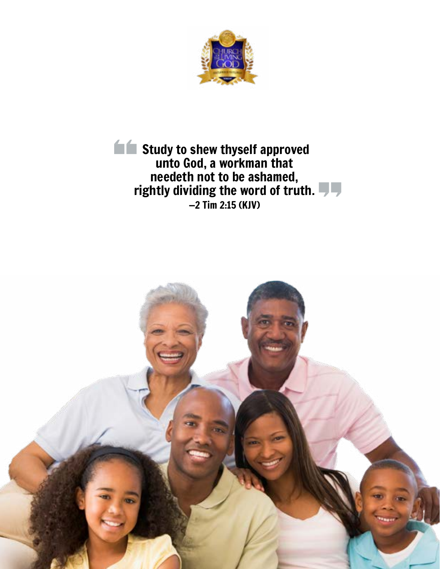

**Study to shew thyself approved** unto God, a workman that needeth not to be ashamed, rightly dividing the word of truth. —2 Tim 2:15 (KJV)